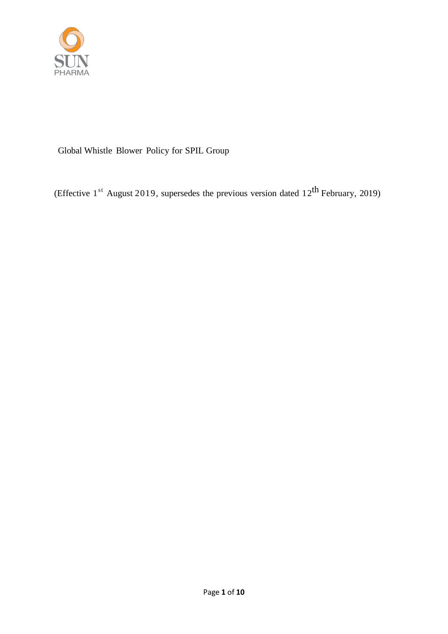

# Global Whistle Blower Policy for SPIL Group

(Effective 1<sup>st</sup> August 2019, supersedes the previous version dated 12<sup>th</sup> February, 2019)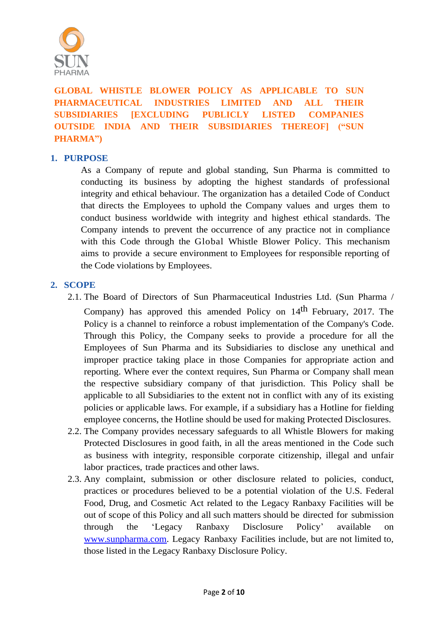

# **GLOBAL WHISTLE BLOWER POLICY AS APPLICABLE TO SUN PHARMACEUTICAL INDUSTRIES LIMITED AND ALL THEIR SUBSIDIARIES [EXCLUDING PUBLICLY LISTED COMPANIES OUTSIDE INDIA AND THEIR SUBSIDIARIES THEREOF] ("SUN PHARMA")**

### **1. PURPOSE**

As a Company of repute and global standing, Sun Pharma is committed to conducting its business by adopting the highest standards of professional integrity and ethical behaviour. The organization has a detailed Code of Conduct that directs the Employees to uphold the Company values and urges them to conduct business worldwide with integrity and highest ethical standards. The Company intends to prevent the occurrence of any practice not in compliance with this Code through the Global Whistle Blower Policy. This mechanism aims to provide a secure environment to Employees for responsible reporting of the Code violations by Employees.

#### **2. SCOPE**

- 2.1. The Board of Directors of Sun Pharmaceutical Industries Ltd. (Sun Pharma / Company) has approved this amended Policy on 14<sup>th</sup> February, 2017. The Policy is a channel to reinforce a robust implementation of the Company's Code. Through this Policy, the Company seeks to provide a procedure for all the Employees of Sun Pharma and its Subsidiaries to disclose any unethical and improper practice taking place in those Companies for appropriate action and reporting. Where ever the context requires, Sun Pharma or Company shall mean the respective subsidiary company of that jurisdiction. This Policy shall be applicable to all Subsidiaries to the extent not in conflict with any of its existing policies or applicable laws. For example, if a subsidiary has a Hotline for fielding employee concerns, the Hotline should be used for making Protected Disclosures.
- 2.2. The Company provides necessary safeguards to all Whistle Blowers for making Protected Disclosures in good faith, in all the areas mentioned in the Code such as business with integrity, responsible corporate citizenship, illegal and unfair labor practices, trade practices and other laws.
- 2.3. Any complaint, submission or other disclosure related to policies, conduct, practices or procedures believed to be a potential violation of the U.S. Federal Food, Drug, and Cosmetic Act related to the Legacy Ranbaxy Facilities will be out of scope of this Policy and all such matters should be directed for submission through the 'Legacy Ranbaxy Disclosure Policy' available on [www.sunpharma.com.](http://www.sunpharma.com/) Legacy Ranbaxy Facilities include, but are not limited to, those listed in the Legacy Ranbaxy Disclosure Policy.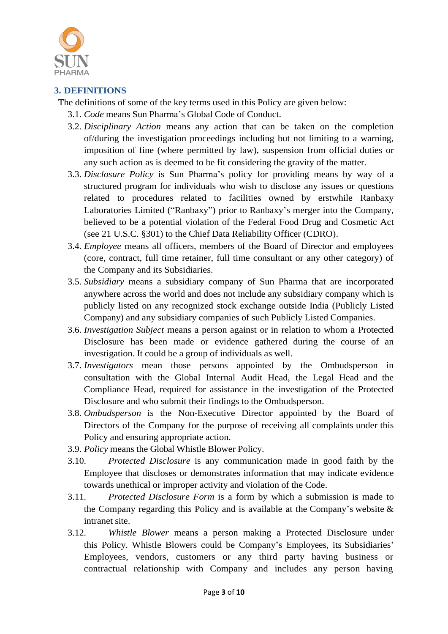

# **3. DEFINITIONS**

The definitions of some of the key terms used in this Policy are given below:

- 3.1. *Code* means Sun Pharma's Global Code of Conduct.
- 3.2. *Disciplinary Action* means any action that can be taken on the completion of/during the investigation proceedings including but not limiting to a warning, imposition of fine (where permitted by law), suspension from official duties or any such action as is deemed to be fit considering the gravity of the matter.
- 3.3. *Disclosure Policy* is Sun Pharma's policy for providing means by way of a structured program for individuals who wish to disclose any issues or questions related to procedures related to facilities owned by erstwhile Ranbaxy Laboratories Limited ("Ranbaxy") prior to Ranbaxy's merger into the Company, believed to be a potential violation of the Federal Food Drug and Cosmetic Act (see 21 U.S.C. §301) to the Chief Data Reliability Officer (CDRO).
- 3.4. *Employee* means all officers, members of the Board of Director and employees (core, contract, full time retainer, full time consultant or any other category) of the Company and its Subsidiaries.
- 3.5. *Subsidiary* means a subsidiary company of Sun Pharma that are incorporated anywhere across the world and does not include any subsidiary company which is publicly listed on any recognized stock exchange outside India (Publicly Listed Company) and any subsidiary companies of such Publicly Listed Companies.
- 3.6. *Investigation Subject* means a person against or in relation to whom a Protected Disclosure has been made or evidence gathered during the course of an investigation. It could be a group of individuals as well.
- 3.7. *Investigators* mean those persons appointed by the Ombudsperson in consultation with the Global Internal Audit Head, the Legal Head and the Compliance Head, required for assistance in the investigation of the Protected Disclosure and who submit their findings to the Ombudsperson.
- 3.8. *Ombudsperson* is the Non-Executive Director appointed by the Board of Directors of the Company for the purpose of receiving all complaints under this Policy and ensuring appropriate action.
- 3.9. *Policy* means the Global Whistle Blower Policy.
- 3.10. *Protected Disclosure* is any communication made in good faith by the Employee that discloses or demonstrates information that may indicate evidence towards unethical or improper activity and violation of the Code.
- 3.11. *Protected Disclosure Form* is a form by which a submission is made to the Company regarding this Policy and is available at the Company's website  $\&$ intranet site.
- 3.12. *Whistle Blower* means a person making a Protected Disclosure under this Policy. Whistle Blowers could be Company's Employees, its Subsidiaries' Employees, vendors, customers or any third party having business or contractual relationship with Company and includes any person having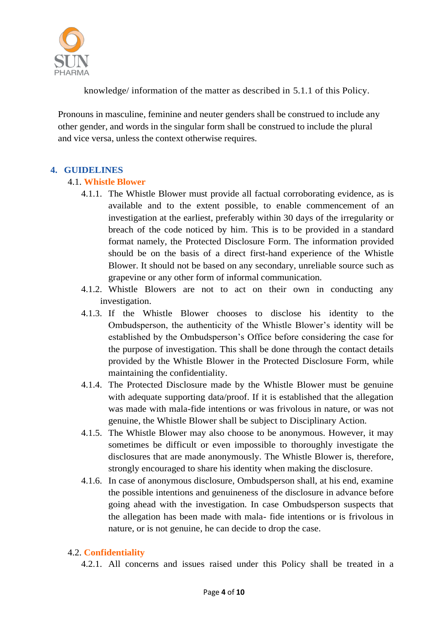

knowledge/ information of the matter as described in [5.1.1](#page-5-0) of this Policy.

Pronouns in masculine, feminine and neuter genders shall be construed to include any other gender, and words in the singular form shall be construed to include the plural and vice versa, unless the context otherwise requires.

#### **4. GUIDELINES**

#### 4.1. **Whistle Blower**

- 4.1.1. The Whistle Blower must provide all factual corroborating evidence, as is available and to the extent possible, to enable commencement of an investigation at the earliest, preferably within 30 days of the irregularity or breach of the code noticed by him. This is to be provided in a standard format namely, the Protected Disclosure Form. The information provided should be on the basis of a direct first-hand experience of the Whistle Blower. It should not be based on any secondary, unreliable source such as grapevine or any other form of informal communication.
- 4.1.2. Whistle Blowers are not to act on their own in conducting any investigation.
- 4.1.3. If the Whistle Blower chooses to disclose his identity to the Ombudsperson, the authenticity of the Whistle Blower's identity will be established by the Ombudsperson's Office before considering the case for the purpose of investigation. This shall be done through the contact details provided by the Whistle Blower in the Protected Disclosure Form, while maintaining the confidentiality.
- 4.1.4. The Protected Disclosure made by the Whistle Blower must be genuine with adequate supporting data/proof. If it is established that the allegation was made with mala-fide intentions or was frivolous in nature, or was not genuine, the Whistle Blower shall be subject to Disciplinary Action.
- 4.1.5. The Whistle Blower may also choose to be anonymous. However, it may sometimes be difficult or even impossible to thoroughly investigate the disclosures that are made anonymously. The Whistle Blower is, therefore, strongly encouraged to share his identity when making the disclosure.
- 4.1.6. In case of anonymous disclosure, Ombudsperson shall, at his end, examine the possible intentions and genuineness of the disclosure in advance before going ahead with the investigation. In case Ombudsperson suspects that the allegation has been made with mala- fide intentions or is frivolous in nature, or is not genuine, he can decide to drop the case.

# 4.2. **Confidentiality**

4.2.1. All concerns and issues raised under this Policy shall be treated in a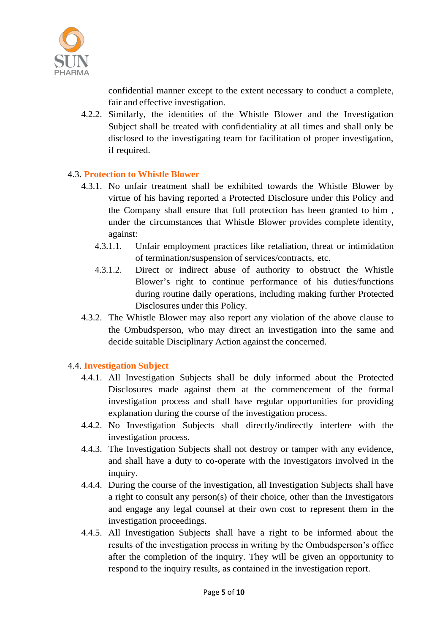

confidential manner except to the extent necessary to conduct a complete, fair and effective investigation.

4.2.2. Similarly, the identities of the Whistle Blower and the Investigation Subject shall be treated with confidentiality at all times and shall only be disclosed to the investigating team for facilitation of proper investigation, if required.

#### 4.3. **Protection to Whistle Blower**

- 4.3.1. No unfair treatment shall be exhibited towards the Whistle Blower by virtue of his having reported a Protected Disclosure under this Policy and the Company shall ensure that full protection has been granted to him , under the circumstances that Whistle Blower provides complete identity, against:
	- 4.3.1.1. Unfair employment practices like retaliation, threat or intimidation of termination/suspension of services/contracts, etc.
	- 4.3.1.2. Direct or indirect abuse of authority to obstruct the Whistle Blower's right to continue performance of his duties/functions during routine daily operations, including making further Protected Disclosures under this Policy.
- 4.3.2. The Whistle Blower may also report any violation of the above clause to the Ombudsperson, who may direct an investigation into the same and decide suitable Disciplinary Action against the concerned.

# 4.4. **Investigation Subject**

- 4.4.1. All Investigation Subjects shall be duly informed about the Protected Disclosures made against them at the commencement of the formal investigation process and shall have regular opportunities for providing explanation during the course of the investigation process.
- 4.4.2. No Investigation Subjects shall directly/indirectly interfere with the investigation process.
- 4.4.3. The Investigation Subjects shall not destroy or tamper with any evidence, and shall have a duty to co-operate with the Investigators involved in the inquiry.
- 4.4.4. During the course of the investigation, all Investigation Subjects shall have a right to consult any person(s) of their choice, other than the Investigators and engage any legal counsel at their own cost to represent them in the investigation proceedings.
- 4.4.5. All Investigation Subjects shall have a right to be informed about the results of the investigation process in writing by the Ombudsperson's office after the completion of the inquiry. They will be given an opportunity to respond to the inquiry results, as contained in the investigation report.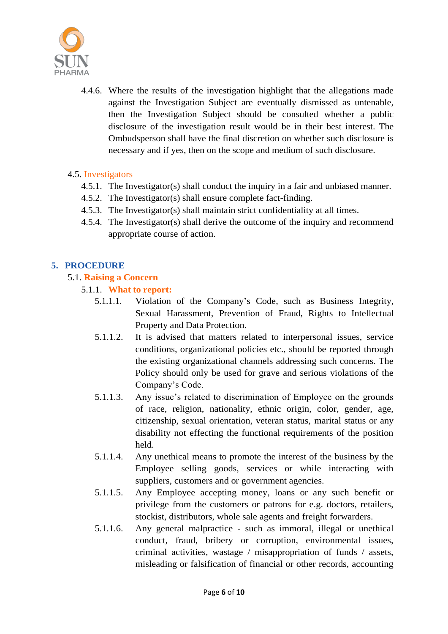

4.4.6. Where the results of the investigation highlight that the allegations made against the Investigation Subject are eventually dismissed as untenable, then the Investigation Subject should be consulted whether a public disclosure of the investigation result would be in their best interest. The Ombudsperson shall have the final discretion on whether such disclosure is necessary and if yes, then on the scope and medium of such disclosure.

#### 4.5. Investigators

- 4.5.1. The Investigator(s) shall conduct the inquiry in a fair and unbiased manner.
- 4.5.2. The Investigator(s) shall ensure complete fact-finding.
- 4.5.3. The Investigator(s) shall maintain strict confidentiality at all times.
- 4.5.4. The Investigator(s) shall derive the outcome of the inquiry and recommend appropriate course of action.

# **5. PROCEDURE**

#### <span id="page-5-0"></span>5.1. **Raising a Concern**

- 5.1.1. **What to report:**
	- 5.1.1.1. Violation of the Company's Code, such as Business Integrity, Sexual Harassment, Prevention of Fraud, Rights to Intellectual Property and Data Protection.
	- 5.1.1.2. It is advised that matters related to interpersonal issues, service conditions, organizational policies etc., should be reported through the existing organizational channels addressing such concerns. The Policy should only be used for grave and serious violations of the Company's Code.
	- 5.1.1.3. Any issue's related to discrimination of Employee on the grounds of race, religion, nationality, ethnic origin, color, gender, age, citizenship, sexual orientation, veteran status, marital status or any disability not effecting the functional requirements of the position held.
	- 5.1.1.4. Any unethical means to promote the interest of the business by the Employee selling goods, services or while interacting with suppliers, customers and or government agencies.
	- 5.1.1.5. Any Employee accepting money, loans or any such benefit or privilege from the customers or patrons for e.g. doctors, retailers, stockist, distributors, whole sale agents and freight forwarders.
	- 5.1.1.6. Any general malpractice such as immoral, illegal or unethical conduct, fraud, bribery or corruption, environmental issues, criminal activities, wastage / misappropriation of funds / assets, misleading or falsification of financial or other records, accounting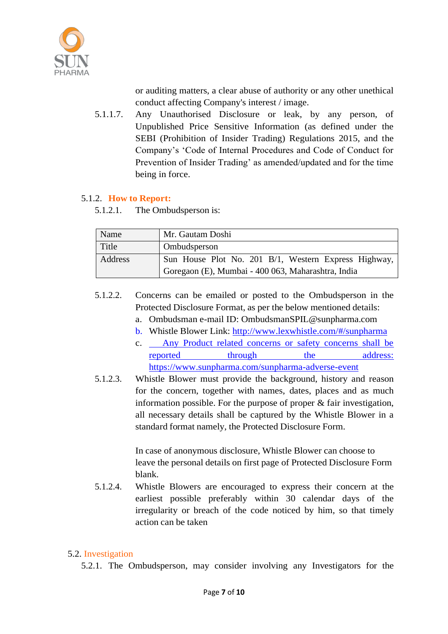

or auditing matters, a clear abuse of authority or any other unethical conduct affecting Company's interest / image.

5.1.1.7. Any Unauthorised Disclosure or leak, by any person, of Unpublished Price Sensitive Information (as defined under the SEBI (Prohibition of Insider Trading) Regulations 2015, and the Company's 'Code of Internal Procedures and Code of Conduct for Prevention of Insider Trading' as amended/updated and for the time being in force.

#### 5.1.2. **How to Report:**

5.1.2.1. The Ombudsperson is:

| Name    | Mr. Gautam Doshi                                     |
|---------|------------------------------------------------------|
| Title   | <b>Ombudsperson</b>                                  |
| Address | Sun House Plot No. 201 B/1, Western Express Highway, |
|         | Goregaon (E), Mumbai - 400 063, Maharashtra, India   |

- <span id="page-6-0"></span>5.1.2.2. Concerns can be emailed or posted to the Ombudsperson in the Protected Disclosure Format, as per the below mentioned details:
	- a. Ombudsman e-mail ID: [OmbudsmanSPIL@sunpharma.com](mailto:OmbudsmanSPIL@sunpharma.com)
	- b. Whistle Blower Link: <http://www.lexwhistle.com/#/sunpharma>
	- c. Any Product related concerns or safety concerns shall be reported through the address: <https://www.sunpharma.com/sunpharma-adverse-event>
- 5.1.2.3. Whistle Blower must provide the background, history and reason for the concern, together with names, dates, places and as much information possible. For the purpose of proper & fair investigation, all necessary details shall be captured by the Whistle Blower in a standard format namely, the Protected Disclosure Form.

In case of anonymous disclosure, Whistle Blower can choose to leave the personal details on first page of Protected Disclosure Form blank.

5.1.2.4. Whistle Blowers are encouraged to express their concern at the earliest possible preferably within 30 calendar days of the irregularity or breach of the code noticed by him, so that timely action can be taken

# 5.2. Investigation

5.2.1. The Ombudsperson, may consider involving any Investigators for the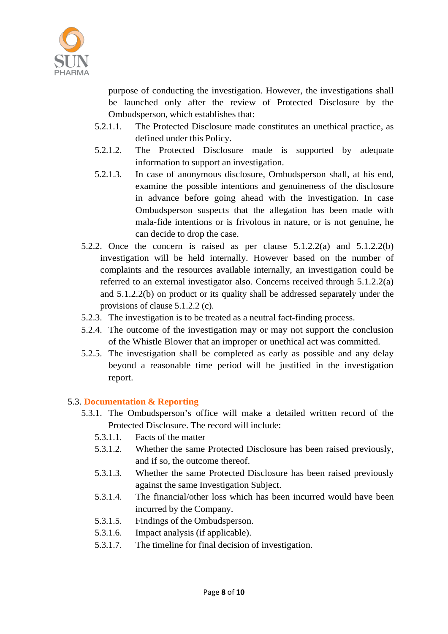

purpose of conducting the investigation. However, the investigations shall be launched only after the review of Protected Disclosure by the Ombudsperson, which establishes that:

- 5.2.1.1. The Protected Disclosure made constitutes an unethical practice, as defined under this Policy.
- 5.2.1.2. The Protected Disclosure made is supported by adequate information to support an investigation.
- 5.2.1.3. In case of anonymous disclosure, Ombudsperson shall, at his end, examine the possible intentions and genuineness of the disclosure in advance before going ahead with the investigation. In case Ombudsperson suspects that the allegation has been made with mala-fide intentions or is frivolous in nature, or is not genuine, he can decide to drop the case.
- 5.2.2. Once the concern is raised as per clause [5.1.2.2\(](#page-6-0)a) and [5.1.2.2\(](#page-6-0)b) investigation will be held internally. However based on the number of complaints and the resources available internally, an investigation could be referred to an external investigator also. Concerns received through [5.1.2.2\(](#page-6-0)a) and [5.1.2.2\(](#page-6-0)b) on product or its quality shall be addressed separately under the provisions of clause [5.1.2.2](#page-6-0) (c).
- 5.2.3. The investigation is to be treated as a neutral fact-finding process.
- 5.2.4. The outcome of the investigation may or may not support the conclusion of the Whistle Blower that an improper or unethical act was committed.
- 5.2.5. The investigation shall be completed as early as possible and any delay beyond a reasonable time period will be justified in the investigation report.

# 5.3. **Documentation & Reporting**

- 5.3.1. The Ombudsperson's office will make a detailed written record of the Protected Disclosure. The record will include:
	- 5.3.1.1. Facts of the matter
	- 5.3.1.2. Whether the same Protected Disclosure has been raised previously, and if so, the outcome thereof.
	- 5.3.1.3. Whether the same Protected Disclosure has been raised previously against the same Investigation Subject.
	- 5.3.1.4. The financial/other loss which has been incurred would have been incurred by the Company.
	- 5.3.1.5. Findings of the Ombudsperson.
	- 5.3.1.6. Impact analysis (if applicable).
	- 5.3.1.7. The timeline for final decision of investigation.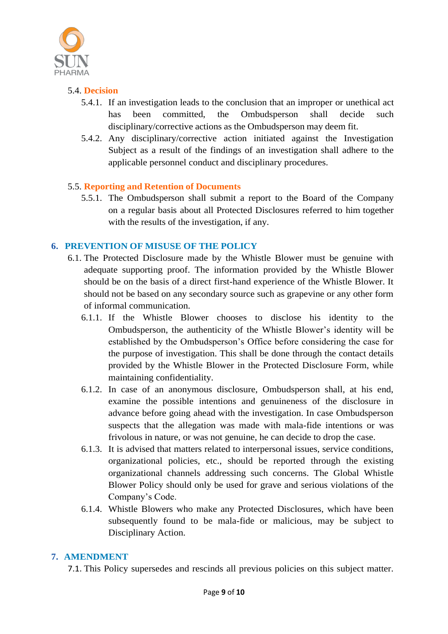

### 5.4. **Decision**

- 5.4.1. If an investigation leads to the conclusion that an improper or unethical act has been committed, the Ombudsperson shall decide such disciplinary/corrective actions as the Ombudsperson may deem fit.
- 5.4.2. Any disciplinary/corrective action initiated against the Investigation Subject as a result of the findings of an investigation shall adhere to the applicable personnel conduct and disciplinary procedures.

#### 5.5. **Reporting and Retention of Documents**

5.5.1. The Ombudsperson shall submit a report to the Board of the Company on a regular basis about all Protected Disclosures referred to him together with the results of the investigation, if any.

#### **6. PREVENTION OF MISUSE OF THE POLICY**

- 6.1. The Protected Disclosure made by the Whistle Blower must be genuine with adequate supporting proof. The information provided by the Whistle Blower should be on the basis of a direct first-hand experience of the Whistle Blower. It should not be based on any secondary source such as grapevine or any other form of informal communication.
	- 6.1.1. If the Whistle Blower chooses to disclose his identity to the Ombudsperson, the authenticity of the Whistle Blower's identity will be established by the Ombudsperson's Office before considering the case for the purpose of investigation. This shall be done through the contact details provided by the Whistle Blower in the Protected Disclosure Form, while maintaining confidentiality.
	- 6.1.2. In case of an anonymous disclosure, Ombudsperson shall, at his end, examine the possible intentions and genuineness of the disclosure in advance before going ahead with the investigation. In case Ombudsperson suspects that the allegation was made with mala-fide intentions or was frivolous in nature, or was not genuine, he can decide to drop the case.
	- 6.1.3. It is advised that matters related to interpersonal issues, service conditions, organizational policies, etc., should be reported through the existing organizational channels addressing such concerns. The Global Whistle Blower Policy should only be used for grave and serious violations of the Company's Code.
	- 6.1.4. Whistle Blowers who make any Protected Disclosures, which have been subsequently found to be mala-fide or malicious, may be subject to Disciplinary Action.

#### **7. AMENDMENT**

7.1. This Policy supersedes and rescinds all previous policies on this subject matter.